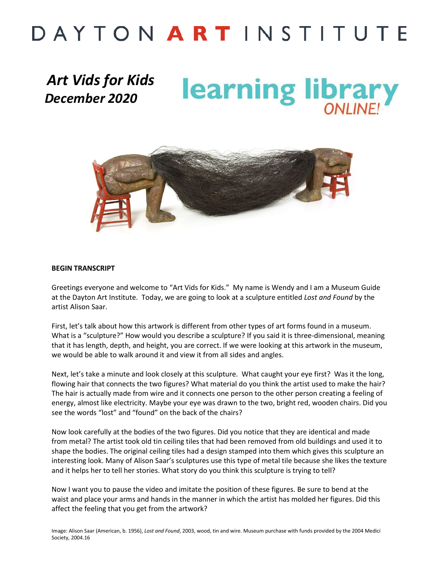## DAYTON ARTINSTITUTE

### *Art Vids for Kids December 2020*

learning library



#### **BEGIN TRANSCRIPT**

Greetings everyone and welcome to "Art Vids for Kids." My name is Wendy and I am a Museum Guide at the Dayton Art Institute. Today, we are going to look at a sculpture entitled *Lost and Found* by the artist Alison Saar.

First, let's talk about how this artwork is different from other types of art forms found in a museum. What is a "sculpture?" How would you describe a sculpture? If you said it is three-dimensional, meaning that it has length, depth, and height, you are correct. If we were looking at this artwork in the museum, we would be able to walk around it and view it from all sides and angles.

Next, let's take a minute and look closely at this sculpture. What caught your eye first? Was it the long, flowing hair that connects the two figures? What material do you think the artist used to make the hair? The hair is actually made from wire and it connects one person to the other person creating a feeling of energy, almost like electricity. Maybe your eye was drawn to the two, bright red, wooden chairs. Did you see the words "lost" and "found" on the back of the chairs?

Now look carefully at the bodies of the two figures. Did you notice that they are identical and made from metal? The artist took old tin ceiling tiles that had been removed from old buildings and used it to shape the bodies. The original ceiling tiles had a design stamped into them which gives this sculpture an interesting look. Many of Alison Saar's sculptures use this type of metal tile because she likes the texture and it helps her to tell her stories. What story do you think this sculpture is trying to tell?

Now I want you to pause the video and imitate the position of these figures. Be sure to bend at the waist and place your arms and hands in the manner in which the artist has molded her figures. Did this affect the feeling that you get from the artwork?